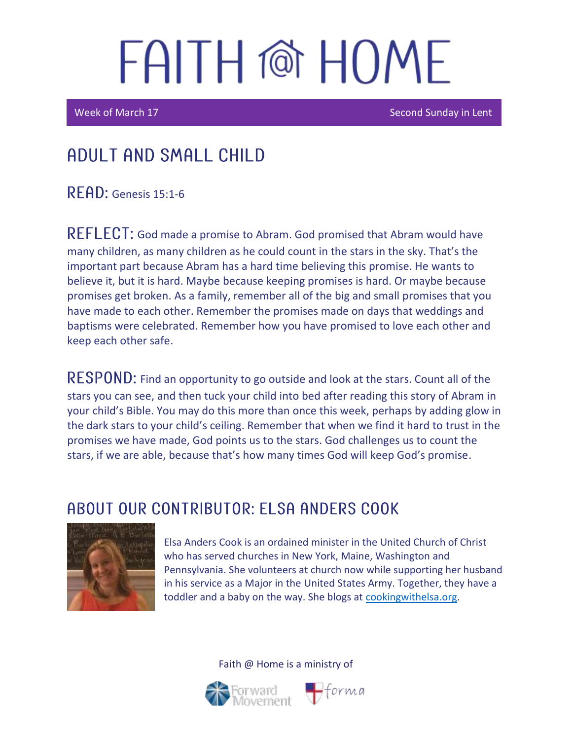Week of March 17 Second Sunday in Lent

### Adult and Small Child

READ: Genesis 15:1-6

REFLECT: God made a promise to Abram. God promised that Abram would have many children, as many children as he could count in the stars in the sky. That's the important part because Abram has a hard time believing this promise. He wants to believe it, but it is hard. Maybe because keeping promises is hard. Or maybe because promises get broken. As a family, remember all of the big and small promises that you have made to each other. Remember the promises made on days that weddings and baptisms were celebrated. Remember how you have promised to love each other and keep each other safe.

RESPOND: Find an opportunity to go outside and look at the stars. Count all of the stars you can see, and then tuck your child into bed after reading this story of Abram in your child's Bible. You may do this more than once this week, perhaps by adding glow in the dark stars to your child's ceiling. Remember that when we find it hard to trust in the promises we have made, God points us to the stars. God challenges us to count the stars, if we are able, because that's how many times God will keep God's promise.

### ABOUT OUR CONTRIBUTOR: ELSA ANDERS COOK



Elsa Anders Cook is an ordained minister in the United Church of Christ who has served churches in New York, Maine, Washington and Pennsylvania. She volunteers at church now while supporting her husband in his service as a Major in the United States Army. Together, they have a toddler and a baby on the way. She blogs at [cookingwithelsa.org.](https://cookingwithelsa.org/)



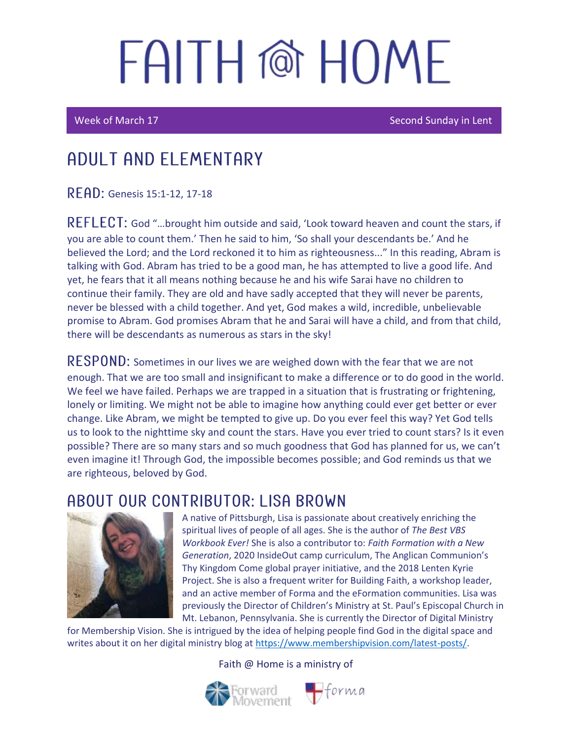Ī

Week of March 17 Second Sunday in Lent

## ADUI T AND FI FMFNTARY

READ: Genesis 15:1-12, 17-18

REFLECT: God "...brought him outside and said, 'Look toward heaven and count the stars, if you are able to count them.' Then he said to him, 'So shall your descendants be.' And he believed the Lord; and the Lord reckoned it to him as righteousness..." In this reading, Abram is talking with God. Abram has tried to be a good man, he has attempted to live a good life. And yet, he fears that it all means nothing because he and his wife Sarai have no children to continue their family. They are old and have sadly accepted that they will never be parents, never be blessed with a child together. And yet, God makes a wild, incredible, unbelievable promise to Abram. God promises Abram that he and Sarai will have a child, and from that child, there will be descendants as numerous as stars in the sky!

 **Sometimes in our lives we are weighed down with the fear that we are not** enough. That we are too small and insignificant to make a difference or to do good in the world. We feel we have failed. Perhaps we are trapped in a situation that is frustrating or frightening, lonely or limiting. We might not be able to imagine how anything could ever get better or ever change. Like Abram, we might be tempted to give up. Do you ever feel this way? Yet God tells us to look to the nighttime sky and count the stars. Have you ever tried to count stars? Is it even possible? There are so many stars and so much goodness that God has planned for us, we can't even imagine it! Through God, the impossible becomes possible; and God reminds us that we are righteous, beloved by God.

#### ABOUT OUR CONTRIBUTOR: LISA BROWN



A native of Pittsburgh, Lisa is passionate about creatively enriching the spiritual lives of people of all ages. She is the author of *The Best VBS Workbook Ever!* She is also a contributor to: *Faith Formation with a New Generation*, 2020 InsideOut camp curriculum, The Anglican Communion's Thy Kingdom Come global prayer initiative, and the 2018 Lenten Kyrie Project. She is also a frequent writer for Building Faith, a workshop leader, and an active member of Forma and the eFormation communities. Lisa was previously the Director of Children's Ministry at St. Paul's Episcopal Church in Mt. Lebanon, Pennsylvania. She is currently the Director of Digital Ministry

for Membership Vision. She is intrigued by the idea of helping people find God in the digital space and writes about it on her digital ministry blog at [https://www.membershipvision.com/latest-posts/.](https://www.membershipvision.com/latest-posts/)

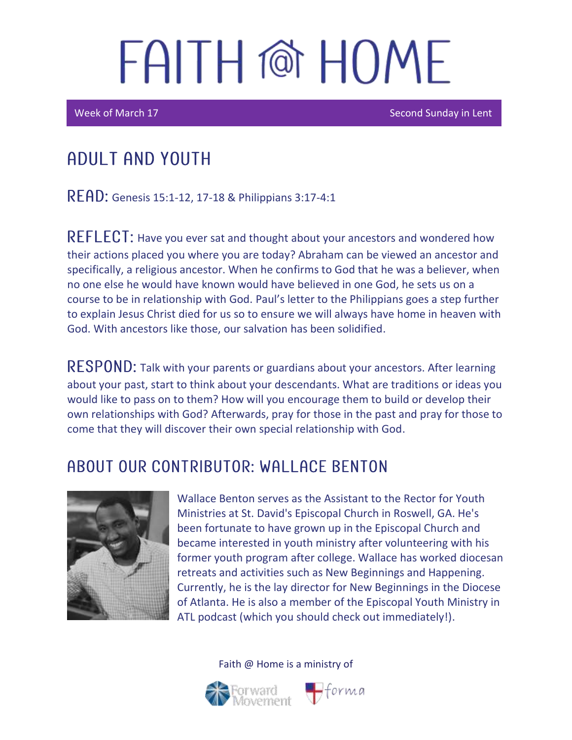Week of March 17 Second Sunday in Lent

## Adult and youth

READ: Genesis 15:1-12, 17-18 & Philippians 3:17-4:1

REFLECT: Have you ever sat and thought about your ancestors and wondered how their actions placed you where you are today? Abraham can be viewed an ancestor and specifically, a religious ancestor. When he confirms to God that he was a believer, when no one else he would have known would have believed in one God, he sets us on a course to be in relationship with God. Paul's letter to the Philippians goes a step further to explain Jesus Christ died for us so to ensure we will always have home in heaven with God. With ancestors like those, our salvation has been solidified.

RESPOND: Talk with your parents or guardians about your ancestors. After learning about your past, start to think about your descendants. What are traditions or ideas you would like to pass on to them? How will you encourage them to build or develop their own relationships with God? Afterwards, pray for those in the past and pray for those to come that they will discover their own special relationship with God.

### A BOUT OUR CONTRIBUTOR: WALL ACE BENTON



Wallace Benton serves as the Assistant to the Rector for Youth Ministries at St. David's Episcopal Church in Roswell, GA. He's been fortunate to have grown up in the Episcopal Church and became interested in youth ministry after volunteering with his former youth program after college. Wallace has worked diocesan retreats and activities such as New Beginnings and Happening. Currently, he is the lay director for New Beginnings in the Diocese of Atlanta. He is also a member of the Episcopal Youth Ministry in ATL podcast (which you should check out immediately!).